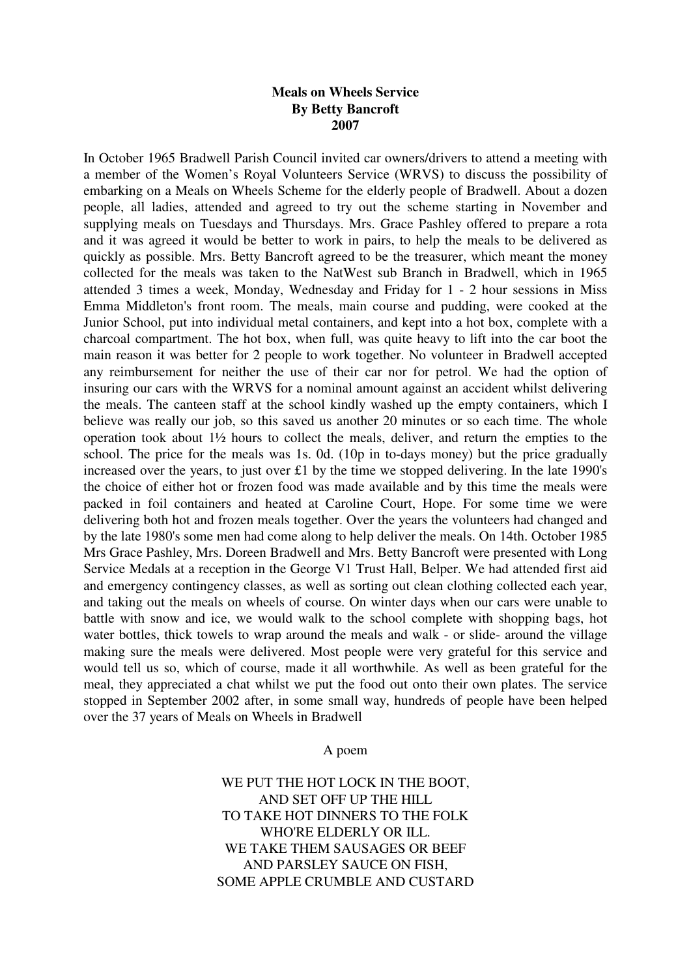## **Meals on Wheels Service By Betty Bancroft 2007**

In October 1965 Bradwell Parish Council invited car owners/drivers to attend a meeting with a member of the Women's Royal Volunteers Service (WRVS) to discuss the possibility of embarking on a Meals on Wheels Scheme for the elderly people of Bradwell. About a dozen people, all ladies, attended and agreed to try out the scheme starting in November and supplying meals on Tuesdays and Thursdays. Mrs. Grace Pashley offered to prepare a rota and it was agreed it would be better to work in pairs, to help the meals to be delivered as quickly as possible. Mrs. Betty Bancroft agreed to be the treasurer, which meant the money collected for the meals was taken to the NatWest sub Branch in Bradwell, which in 1965 attended 3 times a week, Monday, Wednesday and Friday for 1 - 2 hour sessions in Miss Emma Middleton's front room. The meals, main course and pudding, were cooked at the Junior School, put into individual metal containers, and kept into a hot box, complete with a charcoal compartment. The hot box, when full, was quite heavy to lift into the car boot the main reason it was better for 2 people to work together. No volunteer in Bradwell accepted any reimbursement for neither the use of their car nor for petrol. We had the option of insuring our cars with the WRVS for a nominal amount against an accident whilst delivering the meals. The canteen staff at the school kindly washed up the empty containers, which I believe was really our job, so this saved us another 20 minutes or so each time. The whole operation took about 1½ hours to collect the meals, deliver, and return the empties to the school. The price for the meals was 1s. 0d. (10p in to-days money) but the price gradually increased over the years, to just over £1 by the time we stopped delivering. In the late 1990's the choice of either hot or frozen food was made available and by this time the meals were packed in foil containers and heated at Caroline Court, Hope. For some time we were delivering both hot and frozen meals together. Over the years the volunteers had changed and by the late 1980's some men had come along to help deliver the meals. On 14th. October 1985 Mrs Grace Pashley, Mrs. Doreen Bradwell and Mrs. Betty Bancroft were presented with Long Service Medals at a reception in the George V1 Trust Hall, Belper. We had attended first aid and emergency contingency classes, as well as sorting out clean clothing collected each year, and taking out the meals on wheels of course. On winter days when our cars were unable to battle with snow and ice, we would walk to the school complete with shopping bags, hot water bottles, thick towels to wrap around the meals and walk - or slide- around the village making sure the meals were delivered. Most people were very grateful for this service and would tell us so, which of course, made it all worthwhile. As well as been grateful for the meal, they appreciated a chat whilst we put the food out onto their own plates. The service stopped in September 2002 after, in some small way, hundreds of people have been helped over the 37 years of Meals on Wheels in Bradwell

A poem

WE PUT THE HOT LOCK IN THE BOOT. AND SET OFF UP THE HILL TO TAKE HOT DINNERS TO THE FOLK WHO'RE ELDERLY OR ILL. WE TAKE THEM SAUSAGES OR BEEF AND PARSLEY SAUCE ON FISH, SOME APPLE CRUMBLE AND CUSTARD